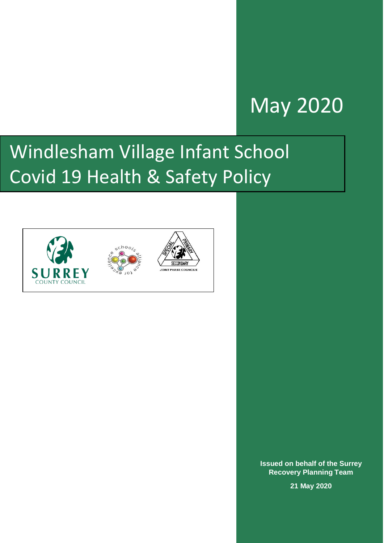## May 2020

# Windlesham Village Infant School Covid 19 Health & Safety Policy





**Issued on behalf of the Surrey Recovery Planning Team** 

**21 May 2020**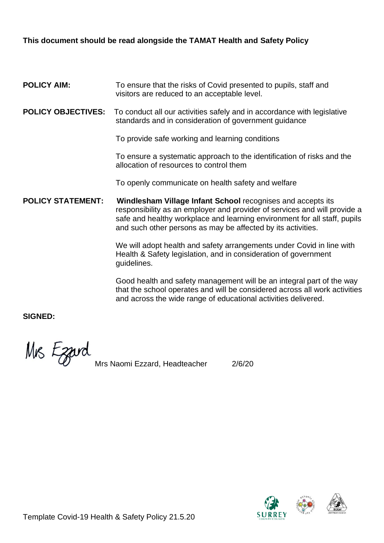### **This document should be read alongside the TAMAT Health and Safety Policy**

#### **POLICY AIM:** To ensure that the risks of Covid presented to pupils, staff and visitors are reduced to an acceptable level.

**POLICY OBJECTIVES:** To conduct all our activities safely and in accordance with legislative standards and in consideration of government guidance

To provide safe working and learning conditions

To ensure a systematic approach to the identification of risks and the allocation of resources to control them

To openly communicate on health safety and welfare

**POLICY STATEMENT: Windlesham Village Infant School** recognises and accepts its responsibility as an employer and provider of services and will provide a safe and healthy workplace and learning environment for all staff, pupils and such other persons as may be affected by its activities.

> We will adopt health and safety arrangements under Covid in line with Health & Safety legislation, and in consideration of government guidelines.

Good health and safety management will be an integral part of the way that the school operates and will be considered across all work activities and across the wide range of educational activities delivered.

**SIGNED:**

Mrs Ezard

Mrs Naomi Ezzard, Headteacher 2/6/20



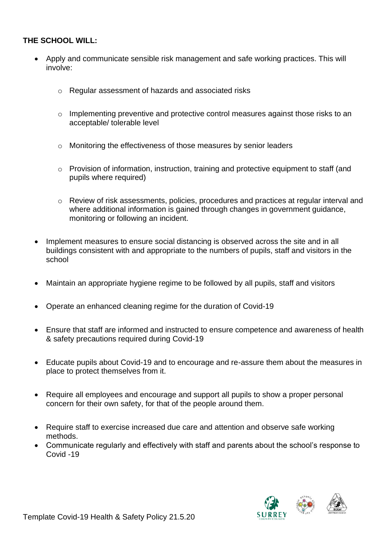#### **THE SCHOOL WILL:**

- Apply and communicate sensible risk management and safe working practices. This will involve:
	- o Regular assessment of hazards and associated risks
	- $\circ$  Implementing preventive and protective control measures against those risks to an acceptable/ tolerable level
	- o Monitoring the effectiveness of those measures by senior leaders
	- o Provision of information, instruction, training and protective equipment to staff (and pupils where required)
	- o Review of risk assessments, policies, procedures and practices at regular interval and where additional information is gained through changes in government guidance, monitoring or following an incident.
- Implement measures to ensure social distancing is observed across the site and in all buildings consistent with and appropriate to the numbers of pupils, staff and visitors in the school
- Maintain an appropriate hygiene regime to be followed by all pupils, staff and visitors
- Operate an enhanced cleaning regime for the duration of Covid-19
- Ensure that staff are informed and instructed to ensure competence and awareness of health & safety precautions required during Covid-19
- Educate pupils about Covid-19 and to encourage and re-assure them about the measures in place to protect themselves from it.
- Require all employees and encourage and support all pupils to show a proper personal concern for their own safety, for that of the people around them.
- Require staff to exercise increased due care and attention and observe safe working methods.
- Communicate regularly and effectively with staff and parents about the school's response to Covid -19